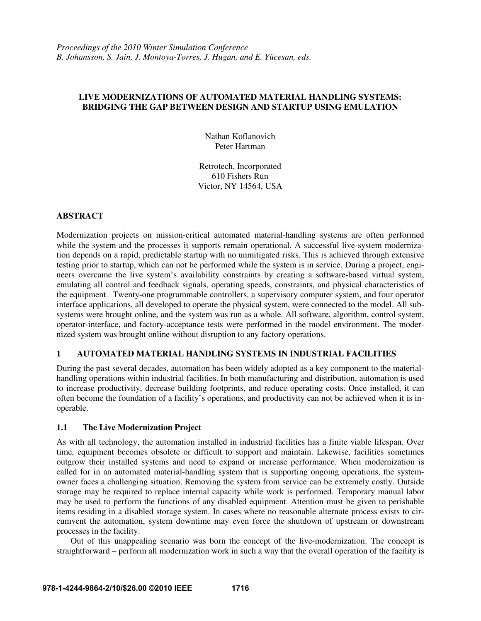# **LIVE MODERNIZATIONS OF AUTOMATED MATERIAL HANDLING SYSTEMS: BRIDGING THE GAP BETWEEN DESIGN AND STARTUP USING EMULATION**

Nathan Koflanovich Peter Hartman

Retrotech, Incorporated 610 Fishers Run Victor, NY 14564, USA

# **ABSTRACT**

Modernization projects on mission-critical automated material-handling systems are often performed while the system and the processes it supports remain operational. A successful live-system modernization depends on a rapid, predictable startup with no unmitigated risks. This is achieved through extensive testing prior to startup, which can not be performed while the system is in service. During a project, engineers overcame the live system's availability constraints by creating a software-based virtual system, emulating all control and feedback signals, operating speeds, constraints, and physical characteristics of the equipment. Twenty-one programmable controllers, a supervisory computer system, and four operator interface applications, all developed to operate the physical system, were connected to the model. All subsystems were brought online, and the system was run as a whole. All software, algorithm, control system, operator-interface, and factory-acceptance tests were performed in the model environment. The modernized system was brought online without disruption to any factory operations.

# **1 AUTOMATED MATERIAL HANDLING SYSTEMS IN INDUSTRIAL FACILITIES**

During the past several decades, automation has been widely adopted as a key component to the materialhandling operations within industrial facilities. In both manufacturing and distribution, automation is used to increase productivity, decrease building footprints, and reduce operating costs. Once installed, it can often become the foundation of a facility's operations, and productivity can not be achieved when it is inoperable.

# **1.1 The Live Modernization Project**

As with all technology, the automation installed in industrial facilities has a finite viable lifespan. Over time, equipment becomes obsolete or difficult to support and maintain. Likewise, facilities sometimes outgrow their installed systems and need to expand or increase performance. When modernization is called for in an automated material-handling system that is supporting ongoing operations, the systemowner faces a challenging situation. Removing the system from service can be extremely costly. Outside storage may be required to replace internal capacity while work is performed. Temporary manual labor may be used to perform the functions of any disabled equipment. Attention must be given to perishable items residing in a disabled storage system. In cases where no reasonable alternate process exists to circumvent the automation, system downtime may even force the shutdown of upstream or downstream processes in the facility.

Out of this unappealing scenario was born the concept of the live-modernization. The concept is straightforward – perform all modernization work in such a way that the overall operation of the facility is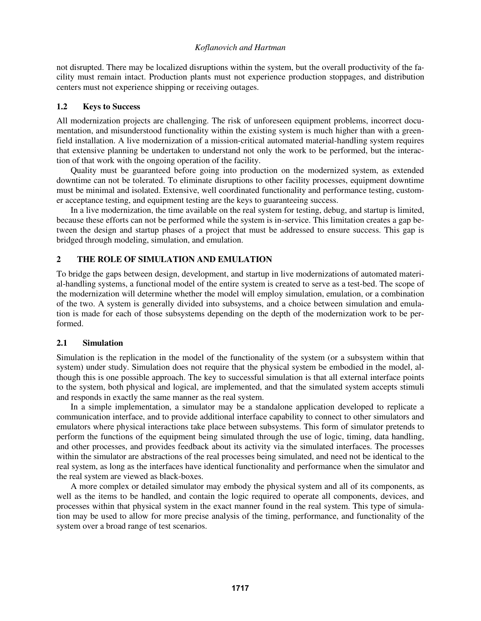not disrupted. There may be localized disruptions within the system, but the overall productivity of the facility must remain intact. Production plants must not experience production stoppages, and distribution centers must not experience shipping or receiving outages.

### **1.2 Keys to Success**

All modernization projects are challenging. The risk of unforeseen equipment problems, incorrect documentation, and misunderstood functionality within the existing system is much higher than with a greenfield installation. A live modernization of a mission-critical automated material-handling system requires that extensive planning be undertaken to understand not only the work to be performed, but the interaction of that work with the ongoing operation of the facility.

Quality must be guaranteed before going into production on the modernized system, as extended downtime can not be tolerated. To eliminate disruptions to other facility processes, equipment downtime must be minimal and isolated. Extensive, well coordinated functionality and performance testing, customer acceptance testing, and equipment testing are the keys to guaranteeing success.

In a live modernization, the time available on the real system for testing, debug, and startup is limited, because these efforts can not be performed while the system is in-service. This limitation creates a gap between the design and startup phases of a project that must be addressed to ensure success. This gap is bridged through modeling, simulation, and emulation.

# **2 THE ROLE OF SIMULATION AND EMULATION**

To bridge the gaps between design, development, and startup in live modernizations of automated material-handling systems, a functional model of the entire system is created to serve as a test-bed. The scope of the modernization will determine whether the model will employ simulation, emulation, or a combination of the two. A system is generally divided into subsystems, and a choice between simulation and emulation is made for each of those subsystems depending on the depth of the modernization work to be performed.

# **2.1 Simulation**

Simulation is the replication in the model of the functionality of the system (or a subsystem within that system) under study. Simulation does not require that the physical system be embodied in the model, although this is one possible approach. The key to successful simulation is that all external interface points to the system, both physical and logical, are implemented, and that the simulated system accepts stimuli and responds in exactly the same manner as the real system.

In a simple implementation, a simulator may be a standalone application developed to replicate a communication interface, and to provide additional interface capability to connect to other simulators and emulators where physical interactions take place between subsystems. This form of simulator pretends to perform the functions of the equipment being simulated through the use of logic, timing, data handling, and other processes, and provides feedback about its activity via the simulated interfaces. The processes within the simulator are abstractions of the real processes being simulated, and need not be identical to the real system, as long as the interfaces have identical functionality and performance when the simulator and the real system are viewed as black-boxes.

A more complex or detailed simulator may embody the physical system and all of its components, as well as the items to be handled, and contain the logic required to operate all components, devices, and processes within that physical system in the exact manner found in the real system. This type of simulation may be used to allow for more precise analysis of the timing, performance, and functionality of the system over a broad range of test scenarios.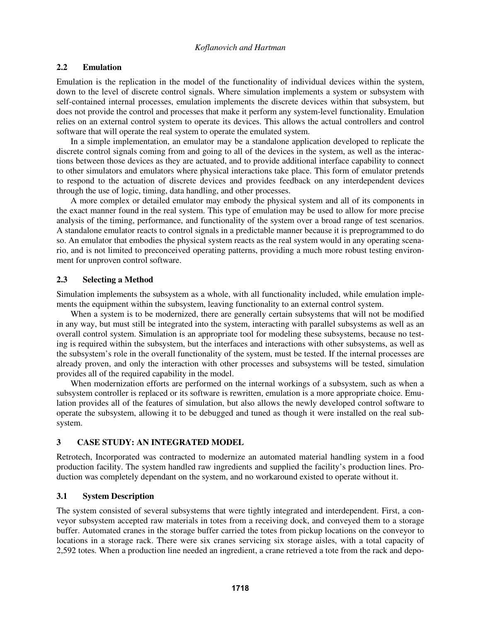# **2.2 Emulation**

Emulation is the replication in the model of the functionality of individual devices within the system, down to the level of discrete control signals. Where simulation implements a system or subsystem with self-contained internal processes, emulation implements the discrete devices within that subsystem, but does not provide the control and processes that make it perform any system-level functionality. Emulation relies on an external control system to operate its devices. This allows the actual controllers and control software that will operate the real system to operate the emulated system.

In a simple implementation, an emulator may be a standalone application developed to replicate the discrete control signals coming from and going to all of the devices in the system, as well as the interactions between those devices as they are actuated, and to provide additional interface capability to connect to other simulators and emulators where physical interactions take place. This form of emulator pretends to respond to the actuation of discrete devices and provides feedback on any interdependent devices through the use of logic, timing, data handling, and other processes.

A more complex or detailed emulator may embody the physical system and all of its components in the exact manner found in the real system. This type of emulation may be used to allow for more precise analysis of the timing, performance, and functionality of the system over a broad range of test scenarios. A standalone emulator reacts to control signals in a predictable manner because it is preprogrammed to do so. An emulator that embodies the physical system reacts as the real system would in any operating scenario, and is not limited to preconceived operating patterns, providing a much more robust testing environment for unproven control software.

# **2.3 Selecting a Method**

Simulation implements the subsystem as a whole, with all functionality included, while emulation implements the equipment within the subsystem, leaving functionality to an external control system.

When a system is to be modernized, there are generally certain subsystems that will not be modified in any way, but must still be integrated into the system, interacting with parallel subsystems as well as an overall control system. Simulation is an appropriate tool for modeling these subsystems, because no testing is required within the subsystem, but the interfaces and interactions with other subsystems, as well as the subsystem's role in the overall functionality of the system, must be tested. If the internal processes are already proven, and only the interaction with other processes and subsystems will be tested, simulation provides all of the required capability in the model.

When modernization efforts are performed on the internal workings of a subsystem, such as when a subsystem controller is replaced or its software is rewritten, emulation is a more appropriate choice. Emulation provides all of the features of simulation, but also allows the newly developed control software to operate the subsystem, allowing it to be debugged and tuned as though it were installed on the real subsystem.

# **3 CASE STUDY: AN INTEGRATED MODEL**

Retrotech, Incorporated was contracted to modernize an automated material handling system in a food production facility. The system handled raw ingredients and supplied the facility's production lines. Production was completely dependant on the system, and no workaround existed to operate without it.

# **3.1 System Description**

The system consisted of several subsystems that were tightly integrated and interdependent. First, a conveyor subsystem accepted raw materials in totes from a receiving dock, and conveyed them to a storage buffer. Automated cranes in the storage buffer carried the totes from pickup locations on the conveyor to locations in a storage rack. There were six cranes servicing six storage aisles, with a total capacity of 2,592 totes. When a production line needed an ingredient, a crane retrieved a tote from the rack and depo-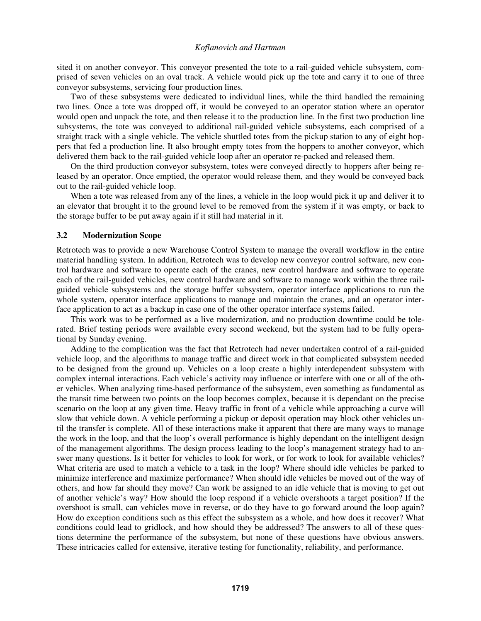sited it on another conveyor. This conveyor presented the tote to a rail-guided vehicle subsystem, comprised of seven vehicles on an oval track. A vehicle would pick up the tote and carry it to one of three conveyor subsystems, servicing four production lines.

Two of these subsystems were dedicated to individual lines, while the third handled the remaining two lines. Once a tote was dropped off, it would be conveyed to an operator station where an operator would open and unpack the tote, and then release it to the production line. In the first two production line subsystems, the tote was conveyed to additional rail-guided vehicle subsystems, each comprised of a straight track with a single vehicle. The vehicle shuttled totes from the pickup station to any of eight hoppers that fed a production line. It also brought empty totes from the hoppers to another conveyor, which delivered them back to the rail-guided vehicle loop after an operator re-packed and released them.

On the third production conveyor subsystem, totes were conveyed directly to hoppers after being released by an operator. Once emptied, the operator would release them, and they would be conveyed back out to the rail-guided vehicle loop.

When a tote was released from any of the lines, a vehicle in the loop would pick it up and deliver it to an elevator that brought it to the ground level to be removed from the system if it was empty, or back to the storage buffer to be put away again if it still had material in it.

#### **3.2 Modernization Scope**

Retrotech was to provide a new Warehouse Control System to manage the overall workflow in the entire material handling system. In addition, Retrotech was to develop new conveyor control software, new control hardware and software to operate each of the cranes, new control hardware and software to operate each of the rail-guided vehicles, new control hardware and software to manage work within the three railguided vehicle subsystems and the storage buffer subsystem, operator interface applications to run the whole system, operator interface applications to manage and maintain the cranes, and an operator interface application to act as a backup in case one of the other operator interface systems failed.

This work was to be performed as a live modernization, and no production downtime could be tolerated. Brief testing periods were available every second weekend, but the system had to be fully operational by Sunday evening.

Adding to the complication was the fact that Retrotech had never undertaken control of a rail-guided vehicle loop, and the algorithms to manage traffic and direct work in that complicated subsystem needed to be designed from the ground up. Vehicles on a loop create a highly interdependent subsystem with complex internal interactions. Each vehicle's activity may influence or interfere with one or all of the other vehicles. When analyzing time-based performance of the subsystem, even something as fundamental as the transit time between two points on the loop becomes complex, because it is dependant on the precise scenario on the loop at any given time. Heavy traffic in front of a vehicle while approaching a curve will slow that vehicle down. A vehicle performing a pickup or deposit operation may block other vehicles until the transfer is complete. All of these interactions make it apparent that there are many ways to manage the work in the loop, and that the loop's overall performance is highly dependant on the intelligent design of the management algorithms. The design process leading to the loop's management strategy had to answer many questions. Is it better for vehicles to look for work, or for work to look for available vehicles? What criteria are used to match a vehicle to a task in the loop? Where should idle vehicles be parked to minimize interference and maximize performance? When should idle vehicles be moved out of the way of others, and how far should they move? Can work be assigned to an idle vehicle that is moving to get out of another vehicle's way? How should the loop respond if a vehicle overshoots a target position? If the overshoot is small, can vehicles move in reverse, or do they have to go forward around the loop again? How do exception conditions such as this effect the subsystem as a whole, and how does it recover? What conditions could lead to gridlock, and how should they be addressed? The answers to all of these questions determine the performance of the subsystem, but none of these questions have obvious answers. These intricacies called for extensive, iterative testing for functionality, reliability, and performance.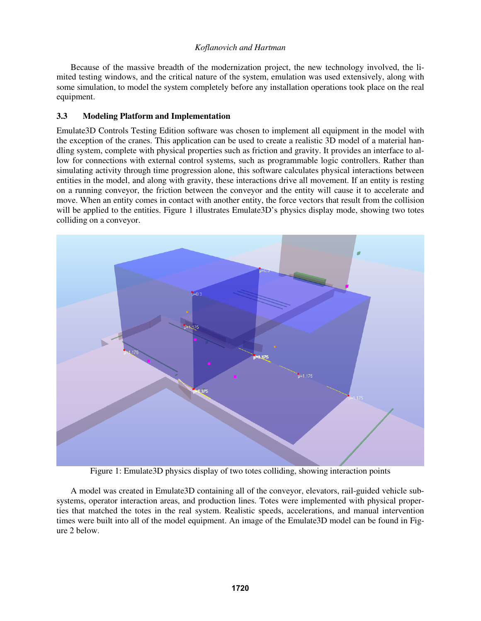Because of the massive breadth of the modernization project, the new technology involved, the limited testing windows, and the critical nature of the system, emulation was used extensively, along with some simulation, to model the system completely before any installation operations took place on the real equipment.

# **3.3 Modeling Platform and Implementation**

Emulate3D Controls Testing Edition software was chosen to implement all equipment in the model with the exception of the cranes. This application can be used to create a realistic 3D model of a material handling system, complete with physical properties such as friction and gravity. It provides an interface to allow for connections with external control systems, such as programmable logic controllers. Rather than simulating activity through time progression alone, this software calculates physical interactions between entities in the model, and along with gravity, these interactions drive all movement. If an entity is resting on a running conveyor, the friction between the conveyor and the entity will cause it to accelerate and move. When an entity comes in contact with another entity, the force vectors that result from the collision will be applied to the entities. Figure 1 illustrates Emulate3D's physics display mode, showing two totes colliding on a conveyor.



Figure 1: Emulate3D physics display of two totes colliding, showing interaction points

A model was created in Emulate3D containing all of the conveyor, elevators, rail-guided vehicle subsystems, operator interaction areas, and production lines. Totes were implemented with physical properties that matched the totes in the real system. Realistic speeds, accelerations, and manual intervention times were built into all of the model equipment. An image of the Emulate3D model can be found in Figure 2 below.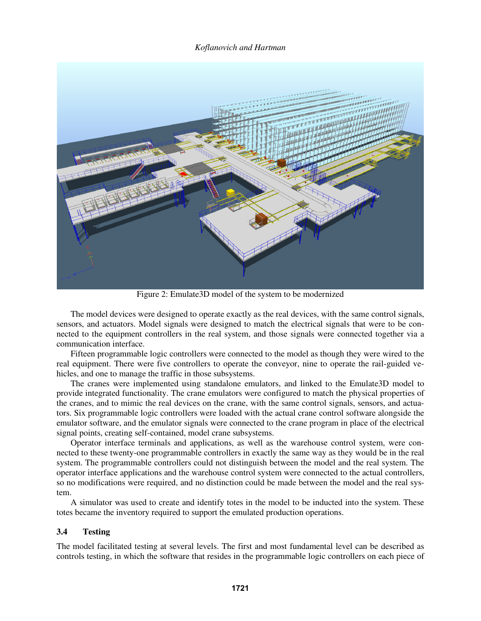

Figure 2: Emulate3D model of the system to be modernized

The model devices were designed to operate exactly as the real devices, with the same control signals, sensors, and actuators. Model signals were designed to match the electrical signals that were to be connected to the equipment controllers in the real system, and those signals were connected together via a communication interface.

Fifteen programmable logic controllers were connected to the model as though they were wired to the real equipment. There were five controllers to operate the conveyor, nine to operate the rail-guided vehicles, and one to manage the traffic in those subsystems.

The cranes were implemented using standalone emulators, and linked to the Emulate3D model to provide integrated functionality. The crane emulators were configured to match the physical properties of the cranes, and to mimic the real devices on the crane, with the same control signals, sensors, and actuators. Six programmable logic controllers were loaded with the actual crane control software alongside the emulator software, and the emulator signals were connected to the crane program in place of the electrical signal points, creating self-contained, model crane subsystems.

Operator interface terminals and applications, as well as the warehouse control system, were connected to these twenty-one programmable controllers in exactly the same way as they would be in the real system. The programmable controllers could not distinguish between the model and the real system. The operator interface applications and the warehouse control system were connected to the actual controllers, so no modifications were required, and no distinction could be made between the model and the real system.

A simulator was used to create and identify totes in the model to be inducted into the system. These totes became the inventory required to support the emulated production operations.

# **3.4 Testing**

The model facilitated testing at several levels. The first and most fundamental level can be described as controls testing, in which the software that resides in the programmable logic controllers on each piece of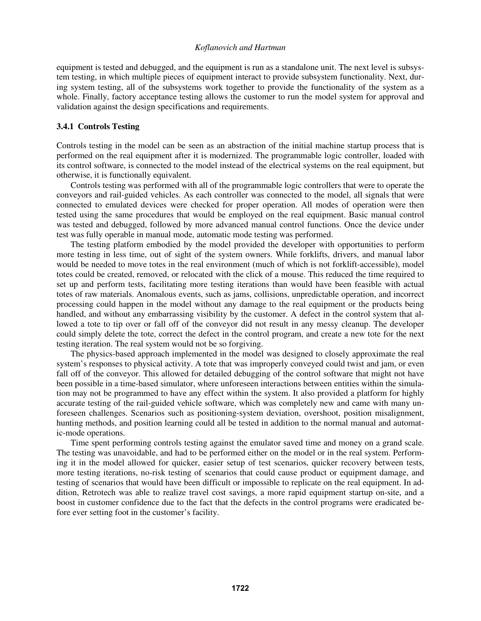equipment is tested and debugged, and the equipment is run as a standalone unit. The next level is subsystem testing, in which multiple pieces of equipment interact to provide subsystem functionality. Next, during system testing, all of the subsystems work together to provide the functionality of the system as a whole. Finally, factory acceptance testing allows the customer to run the model system for approval and validation against the design specifications and requirements.

#### **3.4.1 Controls Testing**

Controls testing in the model can be seen as an abstraction of the initial machine startup process that is performed on the real equipment after it is modernized. The programmable logic controller, loaded with its control software, is connected to the model instead of the electrical systems on the real equipment, but otherwise, it is functionally equivalent.

Controls testing was performed with all of the programmable logic controllers that were to operate the conveyors and rail-guided vehicles. As each controller was connected to the model, all signals that were connected to emulated devices were checked for proper operation. All modes of operation were then tested using the same procedures that would be employed on the real equipment. Basic manual control was tested and debugged, followed by more advanced manual control functions. Once the device under test was fully operable in manual mode, automatic mode testing was performed.

The testing platform embodied by the model provided the developer with opportunities to perform more testing in less time, out of sight of the system owners. While forklifts, drivers, and manual labor would be needed to move totes in the real environment (much of which is not forklift-accessible), model totes could be created, removed, or relocated with the click of a mouse. This reduced the time required to set up and perform tests, facilitating more testing iterations than would have been feasible with actual totes of raw materials. Anomalous events, such as jams, collisions, unpredictable operation, and incorrect processing could happen in the model without any damage to the real equipment or the products being handled, and without any embarrassing visibility by the customer. A defect in the control system that allowed a tote to tip over or fall off of the conveyor did not result in any messy cleanup. The developer could simply delete the tote, correct the defect in the control program, and create a new tote for the next testing iteration. The real system would not be so forgiving.

The physics-based approach implemented in the model was designed to closely approximate the real system's responses to physical activity. A tote that was improperly conveyed could twist and jam, or even fall off of the conveyor. This allowed for detailed debugging of the control software that might not have been possible in a time-based simulator, where unforeseen interactions between entities within the simulation may not be programmed to have any effect within the system. It also provided a platform for highly accurate testing of the rail-guided vehicle software, which was completely new and came with many unforeseen challenges. Scenarios such as positioning-system deviation, overshoot, position misalignment, hunting methods, and position learning could all be tested in addition to the normal manual and automatic-mode operations.

Time spent performing controls testing against the emulator saved time and money on a grand scale. The testing was unavoidable, and had to be performed either on the model or in the real system. Performing it in the model allowed for quicker, easier setup of test scenarios, quicker recovery between tests, more testing iterations, no-risk testing of scenarios that could cause product or equipment damage, and testing of scenarios that would have been difficult or impossible to replicate on the real equipment. In addition, Retrotech was able to realize travel cost savings, a more rapid equipment startup on-site, and a boost in customer confidence due to the fact that the defects in the control programs were eradicated before ever setting foot in the customer's facility.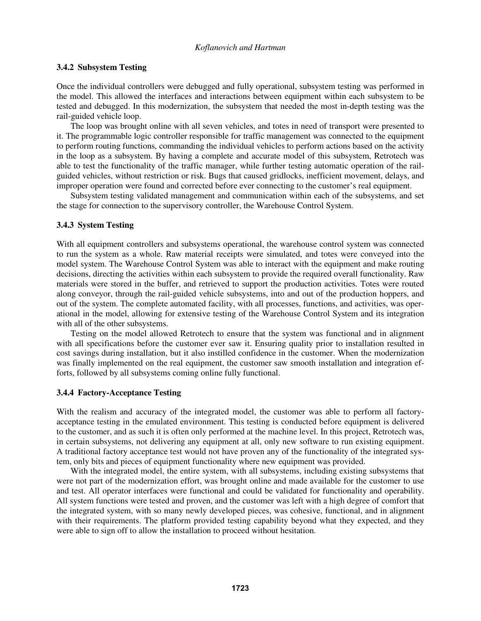### **3.4.2 Subsystem Testing**

Once the individual controllers were debugged and fully operational, subsystem testing was performed in the model. This allowed the interfaces and interactions between equipment within each subsystem to be tested and debugged. In this modernization, the subsystem that needed the most in-depth testing was the rail-guided vehicle loop.

The loop was brought online with all seven vehicles, and totes in need of transport were presented to it. The programmable logic controller responsible for traffic management was connected to the equipment to perform routing functions, commanding the individual vehicles to perform actions based on the activity in the loop as a subsystem. By having a complete and accurate model of this subsystem, Retrotech was able to test the functionality of the traffic manager, while further testing automatic operation of the railguided vehicles, without restriction or risk. Bugs that caused gridlocks, inefficient movement, delays, and improper operation were found and corrected before ever connecting to the customer's real equipment.

Subsystem testing validated management and communication within each of the subsystems, and set the stage for connection to the supervisory controller, the Warehouse Control System.

### **3.4.3 System Testing**

With all equipment controllers and subsystems operational, the warehouse control system was connected to run the system as a whole. Raw material receipts were simulated, and totes were conveyed into the model system. The Warehouse Control System was able to interact with the equipment and make routing decisions, directing the activities within each subsystem to provide the required overall functionality. Raw materials were stored in the buffer, and retrieved to support the production activities. Totes were routed along conveyor, through the rail-guided vehicle subsystems, into and out of the production hoppers, and out of the system. The complete automated facility, with all processes, functions, and activities, was operational in the model, allowing for extensive testing of the Warehouse Control System and its integration with all of the other subsystems.

Testing on the model allowed Retrotech to ensure that the system was functional and in alignment with all specifications before the customer ever saw it. Ensuring quality prior to installation resulted in cost savings during installation, but it also instilled confidence in the customer. When the modernization was finally implemented on the real equipment, the customer saw smooth installation and integration efforts, followed by all subsystems coming online fully functional.

# **3.4.4 Factory-Acceptance Testing**

With the realism and accuracy of the integrated model, the customer was able to perform all factoryacceptance testing in the emulated environment. This testing is conducted before equipment is delivered to the customer, and as such it is often only performed at the machine level. In this project, Retrotech was, in certain subsystems, not delivering any equipment at all, only new software to run existing equipment. A traditional factory acceptance test would not have proven any of the functionality of the integrated system, only bits and pieces of equipment functionality where new equipment was provided.

With the integrated model, the entire system, with all subsystems, including existing subsystems that were not part of the modernization effort, was brought online and made available for the customer to use and test. All operator interfaces were functional and could be validated for functionality and operability. All system functions were tested and proven, and the customer was left with a high degree of comfort that the integrated system, with so many newly developed pieces, was cohesive, functional, and in alignment with their requirements. The platform provided testing capability beyond what they expected, and they were able to sign off to allow the installation to proceed without hesitation.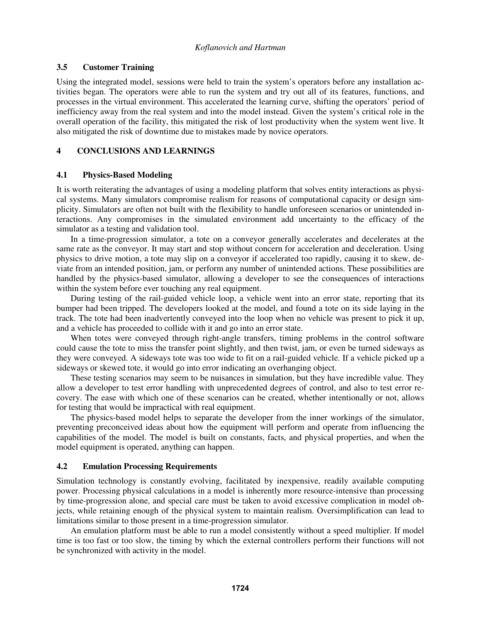#### **3.5 Customer Training**

Using the integrated model, sessions were held to train the system's operators before any installation activities began. The operators were able to run the system and try out all of its features, functions, and processes in the virtual environment. This accelerated the learning curve, shifting the operators' period of inefficiency away from the real system and into the model instead. Given the system's critical role in the overall operation of the facility, this mitigated the risk of lost productivity when the system went live. It also mitigated the risk of downtime due to mistakes made by novice operators.

### **4 CONCLUSIONS AND LEARNINGS**

#### **4.1 Physics-Based Modeling**

It is worth reiterating the advantages of using a modeling platform that solves entity interactions as physical systems. Many simulators compromise realism for reasons of computational capacity or design simplicity. Simulators are often not built with the flexibility to handle unforeseen scenarios or unintended interactions. Any compromises in the simulated environment add uncertainty to the efficacy of the simulator as a testing and validation tool.

In a time-progression simulator, a tote on a conveyor generally accelerates and decelerates at the same rate as the conveyor. It may start and stop without concern for acceleration and deceleration. Using physics to drive motion, a tote may slip on a conveyor if accelerated too rapidly, causing it to skew, deviate from an intended position, jam, or perform any number of unintended actions. These possibilities are handled by the physics-based simulator, allowing a developer to see the consequences of interactions within the system before ever touching any real equipment.

During testing of the rail-guided vehicle loop, a vehicle went into an error state, reporting that its bumper had been tripped. The developers looked at the model, and found a tote on its side laying in the track. The tote had been inadvertently conveyed into the loop when no vehicle was present to pick it up, and a vehicle has proceeded to collide with it and go into an error state.

When totes were conveyed through right-angle transfers, timing problems in the control software could cause the tote to miss the transfer point slightly, and then twist, jam, or even be turned sideways as they were conveyed. A sideways tote was too wide to fit on a rail-guided vehicle. If a vehicle picked up a sideways or skewed tote, it would go into error indicating an overhanging object.

These testing scenarios may seem to be nuisances in simulation, but they have incredible value. They allow a developer to test error handling with unprecedented degrees of control, and also to test error recovery. The ease with which one of these scenarios can be created, whether intentionally or not, allows for testing that would be impractical with real equipment.

The physics-based model helps to separate the developer from the inner workings of the simulator, preventing preconceived ideas about how the equipment will perform and operate from influencing the capabilities of the model. The model is built on constants, facts, and physical properties, and when the model equipment is operated, anything can happen.

### **4.2 Emulation Processing Requirements**

Simulation technology is constantly evolving, facilitated by inexpensive, readily available computing power. Processing physical calculations in a model is inherently more resource-intensive than processing by time-progression alone, and special care must be taken to avoid excessive complication in model objects, while retaining enough of the physical system to maintain realism. Oversimplification can lead to limitations similar to those present in a time-progression simulator.

An emulation platform must be able to run a model consistently without a speed multiplier. If model time is too fast or too slow, the timing by which the external controllers perform their functions will not be synchronized with activity in the model.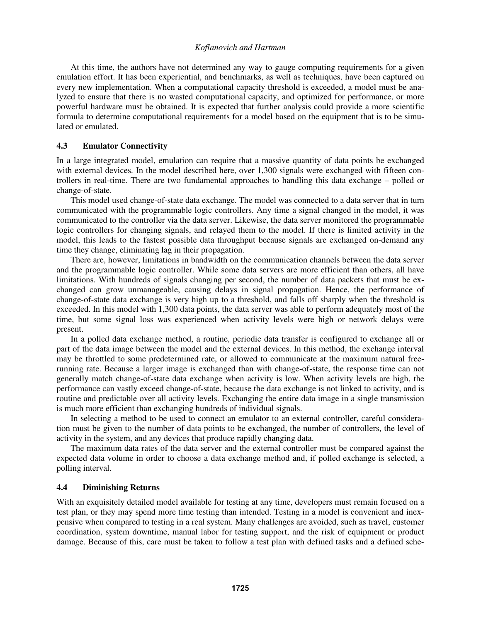At this time, the authors have not determined any way to gauge computing requirements for a given emulation effort. It has been experiential, and benchmarks, as well as techniques, have been captured on every new implementation. When a computational capacity threshold is exceeded, a model must be analyzed to ensure that there is no wasted computational capacity, and optimized for performance, or more powerful hardware must be obtained. It is expected that further analysis could provide a more scientific formula to determine computational requirements for a model based on the equipment that is to be simulated or emulated.

### **4.3 Emulator Connectivity**

In a large integrated model, emulation can require that a massive quantity of data points be exchanged with external devices. In the model described here, over 1,300 signals were exchanged with fifteen controllers in real-time. There are two fundamental approaches to handling this data exchange – polled or change-of-state.

This model used change-of-state data exchange. The model was connected to a data server that in turn communicated with the programmable logic controllers. Any time a signal changed in the model, it was communicated to the controller via the data server. Likewise, the data server monitored the programmable logic controllers for changing signals, and relayed them to the model. If there is limited activity in the model, this leads to the fastest possible data throughput because signals are exchanged on-demand any time they change, eliminating lag in their propagation.

There are, however, limitations in bandwidth on the communication channels between the data server and the programmable logic controller. While some data servers are more efficient than others, all have limitations. With hundreds of signals changing per second, the number of data packets that must be exchanged can grow unmanageable, causing delays in signal propagation. Hence, the performance of change-of-state data exchange is very high up to a threshold, and falls off sharply when the threshold is exceeded. In this model with 1,300 data points, the data server was able to perform adequately most of the time, but some signal loss was experienced when activity levels were high or network delays were present.

In a polled data exchange method, a routine, periodic data transfer is configured to exchange all or part of the data image between the model and the external devices. In this method, the exchange interval may be throttled to some predetermined rate, or allowed to communicate at the maximum natural freerunning rate. Because a larger image is exchanged than with change-of-state, the response time can not generally match change-of-state data exchange when activity is low. When activity levels are high, the performance can vastly exceed change-of-state, because the data exchange is not linked to activity, and is routine and predictable over all activity levels. Exchanging the entire data image in a single transmission is much more efficient than exchanging hundreds of individual signals.

In selecting a method to be used to connect an emulator to an external controller, careful consideration must be given to the number of data points to be exchanged, the number of controllers, the level of activity in the system, and any devices that produce rapidly changing data.

The maximum data rates of the data server and the external controller must be compared against the expected data volume in order to choose a data exchange method and, if polled exchange is selected, a polling interval.

### **4.4 Diminishing Returns**

With an exquisitely detailed model available for testing at any time, developers must remain focused on a test plan, or they may spend more time testing than intended. Testing in a model is convenient and inexpensive when compared to testing in a real system. Many challenges are avoided, such as travel, customer coordination, system downtime, manual labor for testing support, and the risk of equipment or product damage. Because of this, care must be taken to follow a test plan with defined tasks and a defined sche-